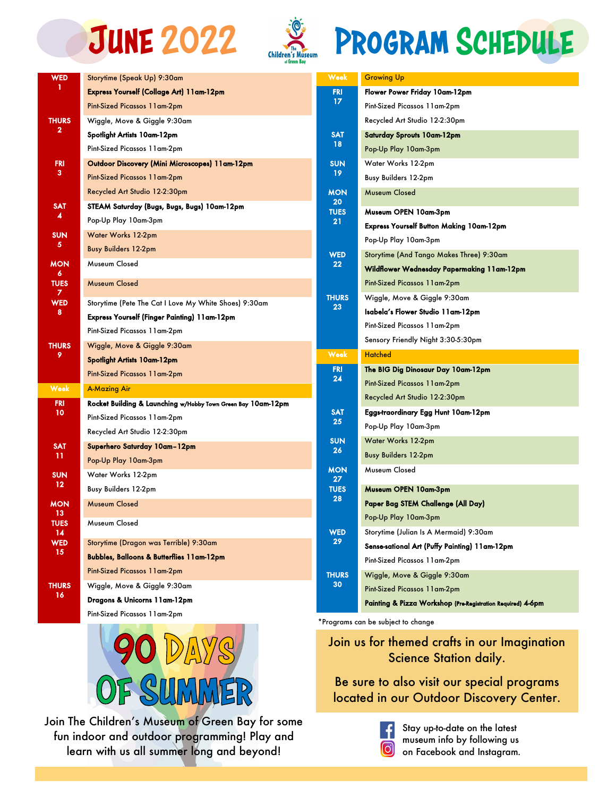



## JUNE 2022 Children's Museum PROGRAM SCHEDULE

| <b>WED</b>                           | Storytime (Speak Up) 9:30am                                  |  |
|--------------------------------------|--------------------------------------------------------------|--|
| 1                                    | Express Yourself (Collage Art) 11am-12pm                     |  |
|                                      | Pint-Sized Picassos 11 am-2pm                                |  |
| <b>THURS</b>                         | Wiggle, Move & Giggle 9:30am                                 |  |
| 2                                    | Spotlight Artists 10am-12pm                                  |  |
|                                      | Pint-Sized Picassos 11am-2pm                                 |  |
| <b>FRI</b>                           | Outdoor Discovery (Mini Microscopes) 11am-12pm               |  |
| 3.                                   | Pint-Sized Picassos 11am-2pm                                 |  |
|                                      | Recycled Art Studio 12-2:30pm                                |  |
| <b>SAT</b><br>4                      | STEAM Saturday (Bugs, Bugs, Bugs) 10am-12pm                  |  |
|                                      | Pop-Up Play 10am-3pm                                         |  |
| <b>SUN</b><br>5                      | Water Works 12-2pm                                           |  |
|                                      | <b>Busy Builders 12-2pm</b>                                  |  |
| MON                                  | Museum Closed                                                |  |
| 6<br><b>TUES</b>                     | Museum Closed                                                |  |
| 7                                    |                                                              |  |
| <b>WED</b><br>8<br><b>THURS</b><br>9 | Storytime (Pete The Cat I Love My White Shoes) 9:30am        |  |
|                                      | Express Yourself (Finger Painting) 11am-12pm                 |  |
|                                      | Pint-Sized Picassos 11 am-2pm                                |  |
|                                      | Wiggle, Move & Giggle 9:30am                                 |  |
|                                      | <b>Spotlight Artists 10am-12pm</b>                           |  |
|                                      | Pint-Sized Picassos 11 am-2pm                                |  |
| Week                                 | A-Mazing Air                                                 |  |
| FRI<br>10                            | Rocket Building & Launching w/Hobby Town Green Bay 10am-12pm |  |
|                                      | Pint-Sized Picassos 11am-2pm                                 |  |
|                                      | Recycled Art Studio 12-2:30pm                                |  |
| <b>SAT</b><br>11                     | Superhero Saturday 10am-12pm                                 |  |
|                                      | Pop-Up Play 10am-3pm                                         |  |
| <b>SUN</b><br>12                     | Water Works 12-2pm                                           |  |
|                                      | <b>Busy Builders 12-2pm</b>                                  |  |
| MON<br>13                            | Museum Closed                                                |  |
| <b>TUES</b>                          | Museum Closed                                                |  |
| 14                                   | Storytime (Dragon was Terrible) 9:30am                       |  |
| <b>WED</b><br>15                     |                                                              |  |
|                                      | <b>Bubbles, Balloons &amp; Butterflies 11am-12pm</b>         |  |
| <b>THURS</b><br>16                   | Pint-Sized Picassos 11 am-2pm                                |  |
|                                      | Wiggle, Move & Giggle 9:30am                                 |  |
|                                      | Dragons & Unicorns 11am-12pm                                 |  |
|                                      | Pint-Sized Picassos 11am-2pm                                 |  |



Join The Children's Museum of Green Bay for some fun indoor and outdoor programming! Play and learn with us all summer long and beyond!

| Week               | <b>Growing Up</b>                             |
|--------------------|-----------------------------------------------|
| FRI<br>17          | Flower Power Friday 10am-12pm                 |
|                    | Pint-Sized Picassos 11am-2pm                  |
|                    | Recycled Art Studio 12-2:30pm                 |
| <b>SAT</b><br>18   | Saturday Sprouts 10am-12pm                    |
|                    | Pop-Up Play 10am-3pm                          |
| <b>SUN</b><br>19   | Water Works 12-2pm                            |
|                    | Busy Builders 12-2pm                          |
| <b>MON</b><br>20   | Museum Closed                                 |
| <b>TUES</b><br>21  | Museum OPEN 10am-3pm                          |
|                    | Express Yourself Button Making 10am-12pm      |
|                    | Pop-Up Play 10am-3pm                          |
| WED<br>22          | Storytime (And Tango Makes Three) 9:30am      |
|                    | Wildflower Wednesday Papermaking 11am-12pm    |
|                    | Pint-Sized Picassos 11am-2pm                  |
| <b>THURS</b><br>23 | Wiggle, Move & Giggle 9:30am                  |
|                    | Isabela's Flower Studio 11am-12pm             |
|                    | Pint-Sized Picassos 11am-2pm                  |
|                    |                                               |
|                    | Sensory Friendly Night 3:30-5:30pm            |
| Week               | <b>Hatched</b>                                |
| <b>FRI</b>         | The BIG Dig Dinosaur Day 10am-12pm            |
| 24                 | Pint-Sized Picassos 11am-2pm                  |
|                    | Recycled Art Studio 12-2:30pm                 |
| <b>SAT</b>         | Eggs-traordinary Egg Hunt 10am-12pm           |
| 25                 | Pop-Up Play 10am-3pm                          |
| <b>SUN</b>         | Water Works 12-2pm                            |
| 26                 | <b>Busy Builders 12-2pm</b>                   |
| <b>MON</b><br>27   | Museum Closed                                 |
| <b>TUES</b>        | Museum OPEN 10am-3pm                          |
| 28                 | Paper Bag STEM Challenge (All Day)            |
|                    | Pop-Up Play 10am-3pm                          |
| WED                | Storytime (Julian Is A Mermaid) 9:30am        |
| 29                 | Sense-sational Art (Puffy Painting) 11am-12pm |
|                    | Pint-Sized Picassos 11am-2pm                  |
| <b>THURS</b>       | Wiggle, Move & Giggle 9:30am                  |
| 30                 | Pint-Sized Picassos 11am-2pm                  |

\*Programs can be subject to change

THU

## Join us for themed crafts in our Imagination Science Station daily.

Be sure to also visit our special programs located in our Outdoor Discovery Center.



Stay up-to-date on the latest museum info by following us on Facebook and Instagram.